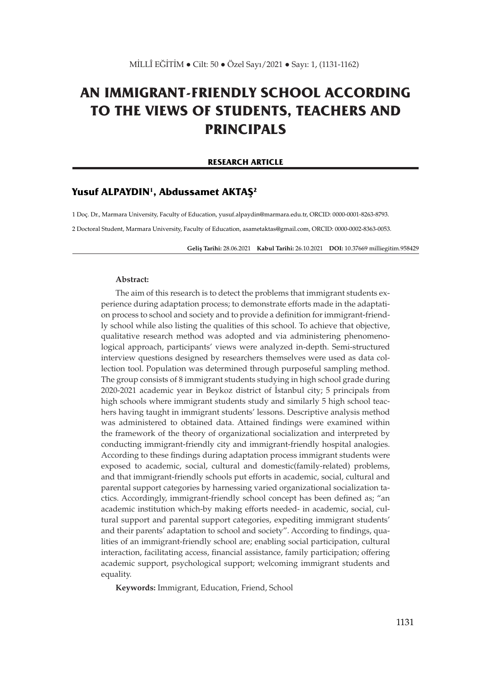## **AN IMMIGRANT-FRIENDLY SCHOOL ACCORDING TO THE VIEWS OF STUDENTS, TEACHERS AND PRINCIPALS**

#### **RESEARCH ARTICLE**

## **Yusuf ALPAYDIN1, Abdussamet AKTAŞ<sup>2</sup>**

1 Doç. Dr., Marmara University, Faculty of Education, yusuf.alpaydin@marmara.edu.tr, ORCID: 0000-0001-8263-8793.

2 Doctoral Student, Marmara University, Faculty of Education, asametaktas@gmail.com, ORCID: 0000-0002-8363-0053.

**Geliş Tarihi:** 28.06.2021 **Kabul Tarihi:** 26.10.2021 **DOI:** 10.37669 milliegitim.958429

#### **Abstract:**

The aim of this research is to detect the problems that immigrant students experience during adaptation process; to demonstrate efforts made in the adaptation process to school and society and to provide a definition for immigrant-friendly school while also listing the qualities of this school. To achieve that objective, qualitative research method was adopted and via administering phenomenological approach, participants' views were analyzed in-depth. Semi-structured interview questions designed by researchers themselves were used as data collection tool. Population was determined through purposeful sampling method. The group consists of 8 immigrant students studying in high school grade during 2020-2021 academic year in Beykoz district of İstanbul city; 5 principals from high schools where immigrant students study and similarly 5 high school teachers having taught in immigrant students' lessons. Descriptive analysis method was administered to obtained data. Attained findings were examined within the framework of the theory of organizational socialization and interpreted by conducting immigrant-friendly city and immigrant-friendly hospital analogies. According to these findings during adaptation process immigrant students were exposed to academic, social, cultural and domestic(family-related) problems, and that immigrant-friendly schools put efforts in academic, social, cultural and parental support categories by harnessing varied organizational socialization tactics. Accordingly, immigrant-friendly school concept has been defined as; "an academic institution which-by making efforts needed- in academic, social, cultural support and parental support categories, expediting immigrant students' and their parents' adaptation to school and society". According to findings, qualities of an immigrant-friendly school are; enabling social participation, cultural interaction, facilitating access, financial assistance, family participation; offering academic support, psychological support; welcoming immigrant students and equality.

**Keywords:** Immigrant, Education, Friend, School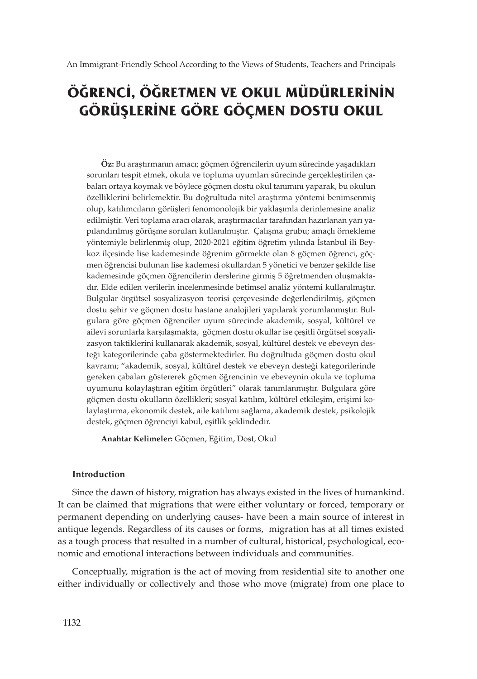# **ÖĞRENCİ, ÖĞRETMEN VE OKUL MÜDÜRLERİNİN GÖRÜŞLERİNE GÖRE GÖÇMEN DOSTU OKUL**

**Öz:** Bu araştırmanın amacı; göçmen öğrencilerin uyum sürecinde yaşadıkları sorunları tespit etmek, okula ve topluma uyumları sürecinde gerçekleştirilen çabaları ortaya koymak ve böylece göçmen dostu okul tanımını yaparak, bu okulun özelliklerini belirlemektir. Bu doğrultuda nitel araştırma yöntemi benimsenmiş olup, katılımcıların görüşleri fenomonolojik bir yaklaşımla derinlemesine analiz edilmiştir. Veri toplama aracı olarak, araştırmacılar tarafından hazırlanan yarı yapılandırılmış görüşme soruları kullanılmıştır. Çalışma grubu; amaçlı örnekleme yöntemiyle belirlenmiş olup, 2020-2021 eğitim öğretim yılında İstanbul ili Beykoz ilçesinde lise kademesinde öğrenim görmekte olan 8 göçmen öğrenci, göçmen öğrencisi bulunan lise kademesi okullardan 5 yönetici ve benzer şekilde lise kademesinde göçmen öğrencilerin derslerine girmiş 5 öğretmenden oluşmaktadır. Elde edilen verilerin incelenmesinde betimsel analiz yöntemi kullanılmıştır. Bulgular örgütsel sosyalizasyon teorisi çerçevesinde değerlendirilmiş, göçmen dostu şehir ve göçmen dostu hastane analojileri yapılarak yorumlanmıştır. Bulgulara göre göçmen öğrenciler uyum sürecinde akademik, sosyal, kültürel ve ailevi sorunlarla karşılaşmakta, göçmen dostu okullar ise çeşitli örgütsel sosyalizasyon taktiklerini kullanarak akademik, sosyal, kültürel destek ve ebeveyn desteği kategorilerinde çaba göstermektedirler. Bu doğrultuda göçmen dostu okul kavramı; "akademik, sosyal, kültürel destek ve ebeveyn desteği kategorilerinde gereken çabaları göstererek göçmen öğrencinin ve ebeveynin okula ve topluma uyumunu kolaylaştıran eğitim örgütleri" olarak tanımlanmıştır. Bulgulara göre göçmen dostu okulların özellikleri; sosyal katılım, kültürel etkileşim, erişimi kolaylaştırma, ekonomik destek, aile katılımı sağlama, akademik destek, psikolojik destek, göçmen öğrenciyi kabul, eşitlik şeklindedir.

**Anahtar Kelimeler:** Göçmen, Eğitim, Dost, Okul

## **Introduction**

Since the dawn of history, migration has always existed in the lives of humankind. It can be claimed that migrations that were either voluntary or forced, temporary or permanent depending on underlying causes- have been a main source of interest in antique legends. Regardless of its causes or forms, migration has at all times existed as a tough process that resulted in a number of cultural, historical, psychological, economic and emotional interactions between individuals and communities.

Conceptually, migration is the act of moving from residential site to another one either individually or collectively and those who move (migrate) from one place to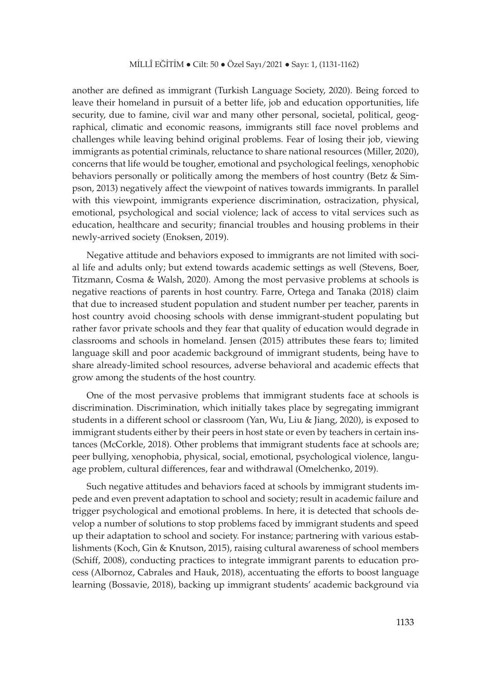another are defined as immigrant (Turkish Language Society, 2020). Being forced to leave their homeland in pursuit of a better life, job and education opportunities, life security, due to famine, civil war and many other personal, societal, political, geographical, climatic and economic reasons, immigrants still face novel problems and challenges while leaving behind original problems. Fear of losing their job, viewing immigrants as potential criminals, reluctance to share national resources (Miller, 2020), concerns that life would be tougher, emotional and psychological feelings, xenophobic behaviors personally or politically among the members of host country (Betz & Simpson, 2013) negatively affect the viewpoint of natives towards immigrants. In parallel with this viewpoint, immigrants experience discrimination, ostracization, physical, emotional, psychological and social violence; lack of access to vital services such as education, healthcare and security; financial troubles and housing problems in their newly-arrived society (Enoksen, 2019).

Negative attitude and behaviors exposed to immigrants are not limited with social life and adults only; but extend towards academic settings as well (Stevens, Boer, Titzmann, Cosma & Walsh, 2020). Among the most pervasive problems at schools is negative reactions of parents in host country. Farre, Ortega and Tanaka (2018) claim that due to increased student population and student number per teacher, parents in host country avoid choosing schools with dense immigrant-student populating but rather favor private schools and they fear that quality of education would degrade in classrooms and schools in homeland. Jensen (2015) attributes these fears to; limited language skill and poor academic background of immigrant students, being have to share already-limited school resources, adverse behavioral and academic effects that grow among the students of the host country.

One of the most pervasive problems that immigrant students face at schools is discrimination. Discrimination, which initially takes place by segregating immigrant students in a different school or classroom (Yan, Wu, Liu & Jiang, 2020), is exposed to immigrant students either by their peers in host state or even by teachers in certain instances (McCorkle, 2018). Other problems that immigrant students face at schools are; peer bullying, xenophobia, physical, social, emotional, psychological violence, language problem, cultural differences, fear and withdrawal (Omelchenko, 2019).

Such negative attitudes and behaviors faced at schools by immigrant students impede and even prevent adaptation to school and society; result in academic failure and trigger psychological and emotional problems. In here, it is detected that schools develop a number of solutions to stop problems faced by immigrant students and speed up their adaptation to school and society. For instance; partnering with various establishments (Koch, Gin & Knutson, 2015), raising cultural awareness of school members (Schiff, 2008), conducting practices to integrate immigrant parents to education process (Albornoz, Cabrales and Hauk, 2018), accentuating the efforts to boost language learning (Bossavie, 2018), backing up immigrant students' academic background via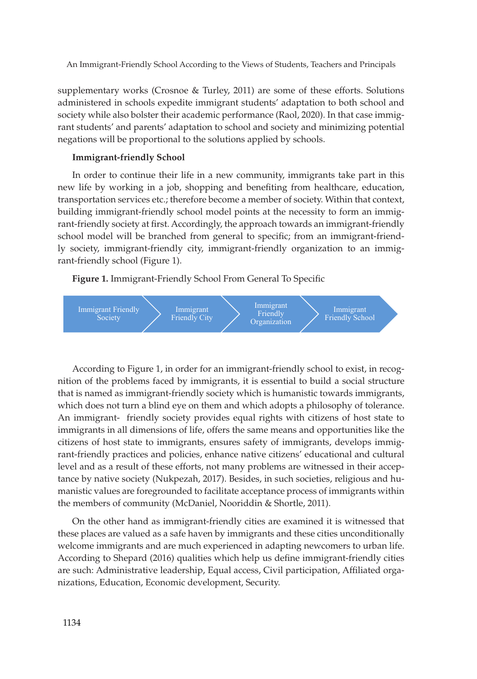supplementary works (Crosnoe & Turley, 2011) are some of these efforts. Solutions administered in schools expedite immigrant students' adaptation to both school and society while also bolster their academic performance (Raol, 2020). In that case immigrant students' and parents' adaptation to school and society and minimizing potential negations will be proportional to the solutions applied by schools.

## **Immigrant-friendly School**

In order to continue their life in a new community, immigrants take part in this new life by working in a job, shopping and benefiting from healthcare, education, transportation services etc.; therefore become a member of society. Within that context, building immigrant-friendly school model points at the necessity to form an immigrant-friendly society at first. Accordingly, the approach towards an immigrant-friendly school model will be branched from general to specific; from an immigrant-friendly society, immigrant-friendly city, immigrant-friendly organization to an immigrant-friendly school (Figure 1).

**Figure 1.** Immigrant-Friendly School From General To Specific



According to Figure 1, in order for an immigrant-friendly school to exist, in recognition of the problems faced by immigrants, it is essential to build a social structure that is named as immigrant-friendly society which is humanistic towards immigrants, which does not turn a blind eye on them and which adopts a philosophy of tolerance. An immigrant- friendly society provides equal rights with citizens of host state to immigrants in all dimensions of life, offers the same means and opportunities like the citizens of host state to immigrants, ensures safety of immigrants, develops immigrant-friendly practices and policies, enhance native citizens' educational and cultural level and as a result of these efforts, not many problems are witnessed in their acceptance by native society (Nukpezah, 2017). Besides, in such societies, religious and humanistic values are foregrounded to facilitate acceptance process of immigrants within the members of community (McDaniel, Nooriddin & Shortle, 2011).

On the other hand as immigrant-friendly cities are examined it is witnessed that these places are valued as a safe haven by immigrants and these cities unconditionally welcome immigrants and are much experienced in adapting newcomers to urban life. According to Shepard (2016) qualities which help us define immigrant-friendly cities are such: Administrative leadership, Equal access, Civil participation, Affiliated organizations, Education, Economic development, Security.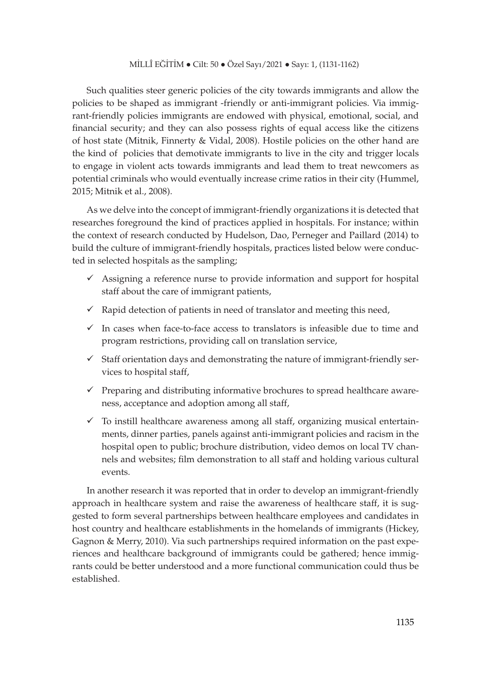Such qualities steer generic policies of the city towards immigrants and allow the policies to be shaped as immigrant -friendly or anti-immigrant policies. Via immigrant-friendly policies immigrants are endowed with physical, emotional, social, and financial security; and they can also possess rights of equal access like the citizens of host state (Mitnik, Finnerty & Vidal, 2008). Hostile policies on the other hand are the kind of policies that demotivate immigrants to live in the city and trigger locals to engage in violent acts towards immigrants and lead them to treat newcomers as potential criminals who would eventually increase crime ratios in their city (Hummel, 2015; Mitnik et al., 2008).

As we delve into the concept of immigrant-friendly organizations it is detected that researches foreground the kind of practices applied in hospitals. For instance; within the context of research conducted by Hudelson, Dao, Perneger and Paillard (2014) to build the culture of immigrant-friendly hospitals, practices listed below were conducted in selected hospitals as the sampling;

- $\checkmark$  Assigning a reference nurse to provide information and support for hospital staff about the care of immigrant patients,
- $\checkmark$  Rapid detection of patients in need of translator and meeting this need,
- $\checkmark$  In cases when face-to-face access to translators is infeasible due to time and program restrictions, providing call on translation service,
- $\checkmark$  Staff orientation days and demonstrating the nature of immigrant-friendly services to hospital staff,
- $\checkmark$  Preparing and distributing informative brochures to spread healthcare awareness, acceptance and adoption among all staff,
- $\checkmark$  To instill healthcare awareness among all staff, organizing musical entertainments, dinner parties, panels against anti-immigrant policies and racism in the hospital open to public; brochure distribution, video demos on local TV channels and websites; film demonstration to all staff and holding various cultural events.

In another research it was reported that in order to develop an immigrant-friendly approach in healthcare system and raise the awareness of healthcare staff, it is suggested to form several partnerships between healthcare employees and candidates in host country and healthcare establishments in the homelands of immigrants (Hickey, Gagnon & Merry, 2010). Via such partnerships required information on the past experiences and healthcare background of immigrants could be gathered; hence immigrants could be better understood and a more functional communication could thus be established.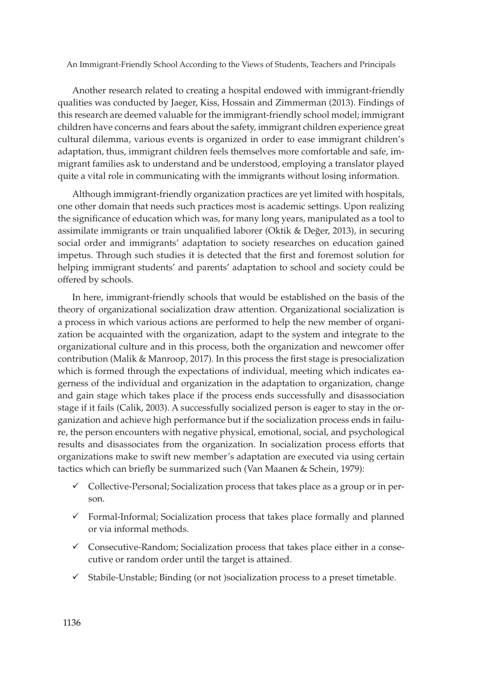Another research related to creating a hospital endowed with immigrant-friendly qualities was conducted by Jaeger, Kiss, Hossain and Zimmerman (2013). Findings of this research are deemed valuable for the immigrant-friendly school model; immigrant children have concerns and fears about the safety, immigrant children experience great cultural dilemma, various events is organized in order to ease immigrant children's adaptation, thus, immigrant children feels themselves more comfortable and safe, immigrant families ask to understand and be understood, employing a translator played quite a vital role in communicating with the immigrants without losing information.

Although immigrant-friendly organization practices are yet limited with hospitals, one other domain that needs such practices most is academic settings. Upon realizing the significance of education which was, for many long years, manipulated as a tool to assimilate immigrants or train unqualified laborer (Oktik & Değer, 2013), in securing social order and immigrants' adaptation to society researches on education gained impetus. Through such studies it is detected that the first and foremost solution for helping immigrant students' and parents' adaptation to school and society could be offered by schools.

In here, immigrant-friendly schools that would be established on the basis of the theory of organizational socialization draw attention. Organizational socialization is a process in which various actions are performed to help the new member of organization be acquainted with the organization, adapt to the system and integrate to the organizational culture and in this process, both the organization and newcomer offer contribution (Malik & Manroop, 2017). In this process the first stage is presocialization which is formed through the expectations of individual, meeting which indicates eagerness of the individual and organization in the adaptation to organization, change and gain stage which takes place if the process ends successfully and disassociation stage if it fails (Calik, 2003). A successfully socialized person is eager to stay in the organization and achieve high performance but if the socialization process ends in failure, the person encounters with negative physical, emotional, social, and psychological results and disassociates from the organization. In socialization process efforts that organizations make to swift new member's adaptation are executed via using certain tactics which can briefly be summarized such (Van Maanen & Schein, 1979):

- Collective-Personal; Socialization process that takes place as a group or in person.
- $\checkmark$  Formal-Informal; Socialization process that takes place formally and planned or via informal methods.
- $\checkmark$  Consecutive-Random; Socialization process that takes place either in a consecutive or random order until the target is attained.
- Stabile-Unstable; Binding (or not )socialization process to a preset timetable.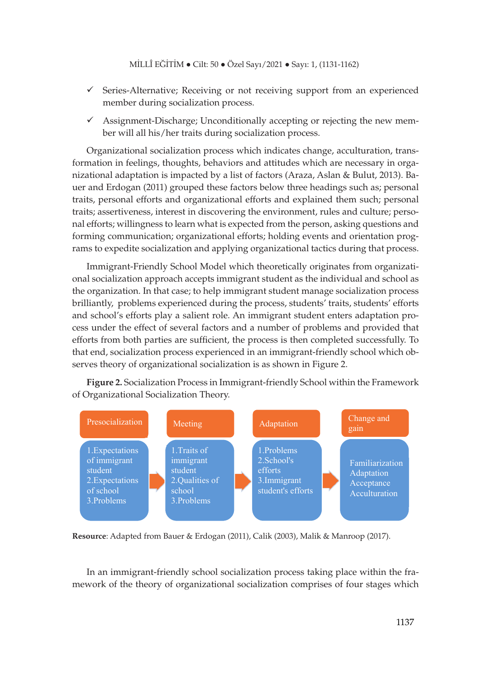- $\checkmark$  Series-Alternative; Receiving or not receiving support from an experienced member during socialization process.
- $\checkmark$  Assignment-Discharge; Unconditionally accepting or rejecting the new member will all his/her traits during socialization process.

Organizational socialization process which indicates change, acculturation, transformation in feelings, thoughts, behaviors and attitudes which are necessary in organizational adaptation is impacted by a list of factors (Araza, Aslan & Bulut, 2013). Bauer and Erdogan (2011) grouped these factors below three headings such as; personal traits, personal efforts and organizational efforts and explained them such; personal traits; assertiveness, interest in discovering the environment, rules and culture; personal efforts; willingness to learn what is expected from the person, asking questions and forming communication; organizational efforts; holding events and orientation programs to expedite socialization and applying organizational tactics during that process.

Immigrant-Friendly School Model which theoretically originates from organizational socialization approach accepts immigrant student as the individual and school as the organization. In that case; to help immigrant student manage socialization process brilliantly, problems experienced during the process, students' traits, students' efforts and school's efforts play a salient role. An immigrant student enters adaptation process under the effect of several factors and a number of problems and provided that efforts from both parties are sufficient, the process is then completed successfully. To that end, socialization process experienced in an immigrant-friendly school which observes theory of organizational socialization is as shown in Figure 2.

**Figure 2.** Socialization Process in Immigrant-friendly School within the Framework of Organizational Socialization Theory.



**Resource**: Adapted from Bauer & Erdogan (2011), Calik (2003), Malik & Manroop (2017).

In an immigrant-friendly school socialization process taking place within the framework of the theory of organizational socialization comprises of four stages which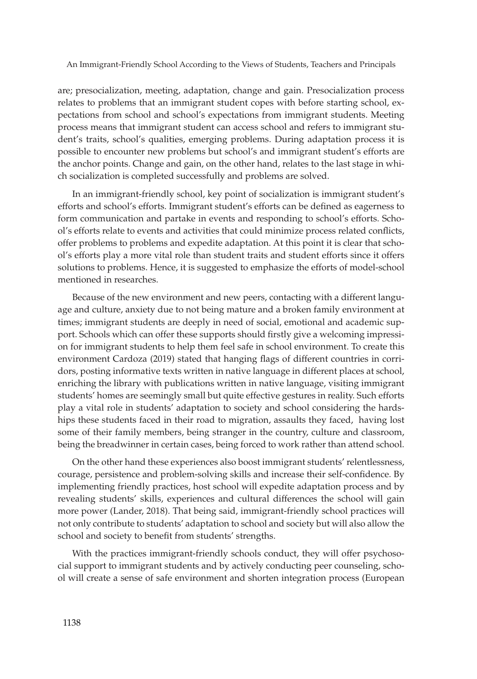are; presocialization, meeting, adaptation, change and gain. Presocialization process relates to problems that an immigrant student copes with before starting school, expectations from school and school's expectations from immigrant students. Meeting process means that immigrant student can access school and refers to immigrant student's traits, school's qualities, emerging problems. During adaptation process it is possible to encounter new problems but school's and immigrant student's efforts are the anchor points. Change and gain, on the other hand, relates to the last stage in which socialization is completed successfully and problems are solved.

In an immigrant-friendly school, key point of socialization is immigrant student's efforts and school's efforts. Immigrant student's efforts can be defined as eagerness to form communication and partake in events and responding to school's efforts. School's efforts relate to events and activities that could minimize process related conflicts, offer problems to problems and expedite adaptation. At this point it is clear that school's efforts play a more vital role than student traits and student efforts since it offers solutions to problems. Hence, it is suggested to emphasize the efforts of model-school mentioned in researches.

Because of the new environment and new peers, contacting with a different language and culture, anxiety due to not being mature and a broken family environment at times; immigrant students are deeply in need of social, emotional and academic support. Schools which can offer these supports should firstly give a welcoming impression for immigrant students to help them feel safe in school environment. To create this environment Cardoza (2019) stated that hanging flags of different countries in corridors, posting informative texts written in native language in different places at school, enriching the library with publications written in native language, visiting immigrant students' homes are seemingly small but quite effective gestures in reality. Such efforts play a vital role in students' adaptation to society and school considering the hardships these students faced in their road to migration, assaults they faced, having lost some of their family members, being stranger in the country, culture and classroom, being the breadwinner in certain cases, being forced to work rather than attend school.

On the other hand these experiences also boost immigrant students' relentlessness, courage, persistence and problem-solving skills and increase their self-confidence. By implementing friendly practices, host school will expedite adaptation process and by revealing students' skills, experiences and cultural differences the school will gain more power (Lander, 2018). That being said, immigrant-friendly school practices will not only contribute to students' adaptation to school and society but will also allow the school and society to benefit from students' strengths.

With the practices immigrant-friendly schools conduct, they will offer psychosocial support to immigrant students and by actively conducting peer counseling, school will create a sense of safe environment and shorten integration process (European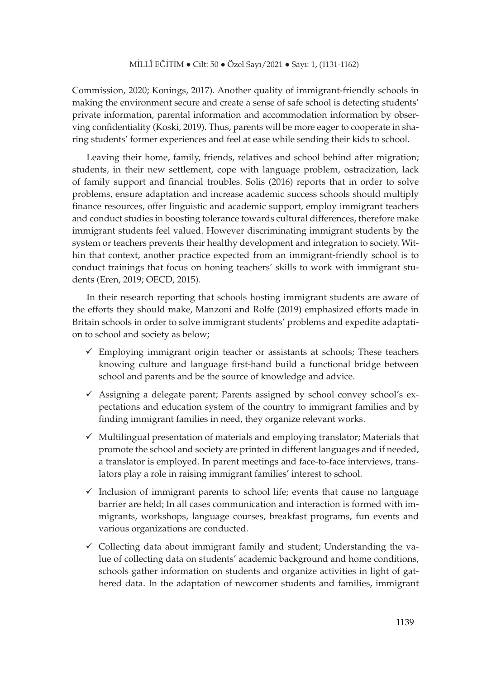Commission, 2020; Konings, 2017). Another quality of immigrant-friendly schools in making the environment secure and create a sense of safe school is detecting students' private information, parental information and accommodation information by observing confidentiality (Koski, 2019). Thus, parents will be more eager to cooperate in sharing students' former experiences and feel at ease while sending their kids to school.

Leaving their home, family, friends, relatives and school behind after migration; students, in their new settlement, cope with language problem, ostracization, lack of family support and financial troubles. Solis (2016) reports that in order to solve problems, ensure adaptation and increase academic success schools should multiply finance resources, offer linguistic and academic support, employ immigrant teachers and conduct studies in boosting tolerance towards cultural differences, therefore make immigrant students feel valued. However discriminating immigrant students by the system or teachers prevents their healthy development and integration to society. Within that context, another practice expected from an immigrant-friendly school is to conduct trainings that focus on honing teachers' skills to work with immigrant students (Eren, 2019; OECD, 2015).

In their research reporting that schools hosting immigrant students are aware of the efforts they should make, Manzoni and Rolfe (2019) emphasized efforts made in Britain schools in order to solve immigrant students' problems and expedite adaptation to school and society as below;

- $\checkmark$  Employing immigrant origin teacher or assistants at schools; These teachers knowing culture and language first-hand build a functional bridge between school and parents and be the source of knowledge and advice.
- Assigning a delegate parent; Parents assigned by school convey school's expectations and education system of the country to immigrant families and by finding immigrant families in need, they organize relevant works.
- $\checkmark$  Multilingual presentation of materials and employing translator; Materials that promote the school and society are printed in different languages and if needed, a translator is employed. In parent meetings and face-to-face interviews, translators play a role in raising immigrant families' interest to school.
- $\checkmark$  Inclusion of immigrant parents to school life; events that cause no language barrier are held; In all cases communication and interaction is formed with immigrants, workshops, language courses, breakfast programs, fun events and various organizations are conducted.
- $\checkmark$  Collecting data about immigrant family and student; Understanding the value of collecting data on students' academic background and home conditions, schools gather information on students and organize activities in light of gathered data. In the adaptation of newcomer students and families, immigrant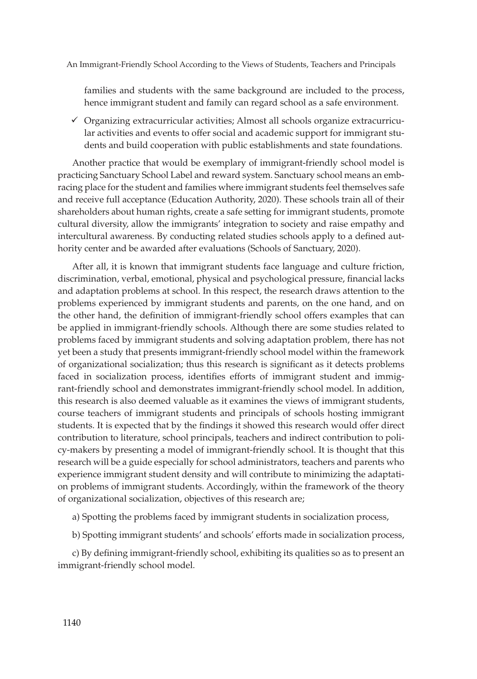families and students with the same background are included to the process, hence immigrant student and family can regard school as a safe environment.

 $\checkmark$  Organizing extracurricular activities; Almost all schools organize extracurricular activities and events to offer social and academic support for immigrant students and build cooperation with public establishments and state foundations.

Another practice that would be exemplary of immigrant-friendly school model is practicing Sanctuary School Label and reward system. Sanctuary school means an embracing place for the student and families where immigrant students feel themselves safe and receive full acceptance (Education Authority, 2020). These schools train all of their shareholders about human rights, create a safe setting for immigrant students, promote cultural diversity, allow the immigrants' integration to society and raise empathy and intercultural awareness. By conducting related studies schools apply to a defined authority center and be awarded after evaluations (Schools of Sanctuary, 2020).

After all, it is known that immigrant students face language and culture friction, discrimination, verbal, emotional, physical and psychological pressure, financial lacks and adaptation problems at school. In this respect, the research draws attention to the problems experienced by immigrant students and parents, on the one hand, and on the other hand, the definition of immigrant-friendly school offers examples that can be applied in immigrant-friendly schools. Although there are some studies related to problems faced by immigrant students and solving adaptation problem, there has not yet been a study that presents immigrant-friendly school model within the framework of organizational socialization; thus this research is significant as it detects problems faced in socialization process, identifies efforts of immigrant student and immigrant-friendly school and demonstrates immigrant-friendly school model. In addition, this research is also deemed valuable as it examines the views of immigrant students, course teachers of immigrant students and principals of schools hosting immigrant students. It is expected that by the findings it showed this research would offer direct contribution to literature, school principals, teachers and indirect contribution to policy-makers by presenting a model of immigrant-friendly school. It is thought that this research will be a guide especially for school administrators, teachers and parents who experience immigrant student density and will contribute to minimizing the adaptation problems of immigrant students. Accordingly, within the framework of the theory of organizational socialization, objectives of this research are;

- a) Spotting the problems faced by immigrant students in socialization process,
- b) Spotting immigrant students' and schools' efforts made in socialization process,

c) By defining immigrant-friendly school, exhibiting its qualities so as to present an immigrant-friendly school model.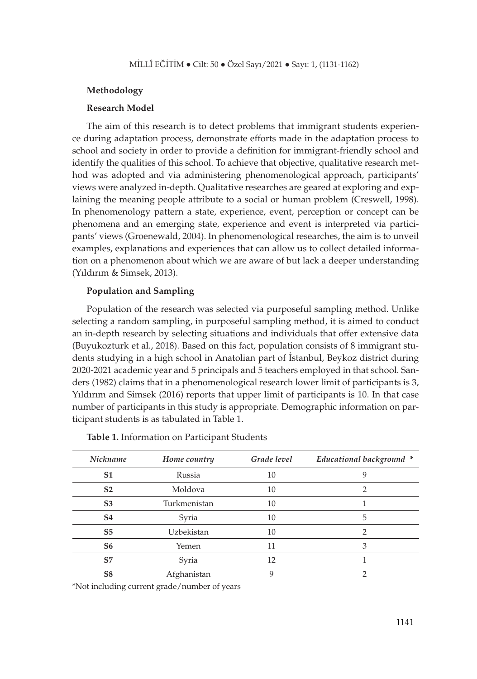#### **Methodology**

#### **Research Model**

The aim of this research is to detect problems that immigrant students experience during adaptation process, demonstrate efforts made in the adaptation process to school and society in order to provide a definition for immigrant-friendly school and identify the qualities of this school. To achieve that objective, qualitative research method was adopted and via administering phenomenological approach, participants' views were analyzed in-depth. Qualitative researches are geared at exploring and explaining the meaning people attribute to a social or human problem (Creswell, 1998). In phenomenology pattern a state, experience, event, perception or concept can be phenomena and an emerging state, experience and event is interpreted via participants' views (Groenewald, 2004). In phenomenological researches, the aim is to unveil examples, explanations and experiences that can allow us to collect detailed information on a phenomenon about which we are aware of but lack a deeper understanding (Yıldırım & Simsek, 2013).

#### **Population and Sampling**

Population of the research was selected via purposeful sampling method. Unlike selecting a random sampling, in purposeful sampling method, it is aimed to conduct an in-depth research by selecting situations and individuals that offer extensive data (Buyukozturk et al., 2018). Based on this fact, population consists of 8 immigrant students studying in a high school in Anatolian part of İstanbul, Beykoz district during 2020-2021 academic year and 5 principals and 5 teachers employed in that school. Sanders (1982) claims that in a phenomenological research lower limit of participants is 3, Yıldırım and Simsek (2016) reports that upper limit of participants is 10. In that case number of participants in this study is appropriate. Demographic information on participant students is as tabulated in Table 1.

| <b>Nickname</b> | Home country      | Grade level | Educational background * |
|-----------------|-------------------|-------------|--------------------------|
| S <sub>1</sub>  | Russia            | 10          | 9                        |
| S <sub>2</sub>  | Moldova           | 10          | 2                        |
| S <sub>3</sub>  | Turkmenistan      | 10          |                          |
| S <sub>4</sub>  | Syria             | 10          | 5                        |
| S <sub>5</sub>  | <b>Uzbekistan</b> | 10          | 2                        |
| S6              | Yemen             | 11          | 3                        |
| S7              | Syria             | 12          |                          |
| S8              | Afghanistan       | 9           |                          |

**Table 1.** Information on Participant Students

\*Not including current grade/number of years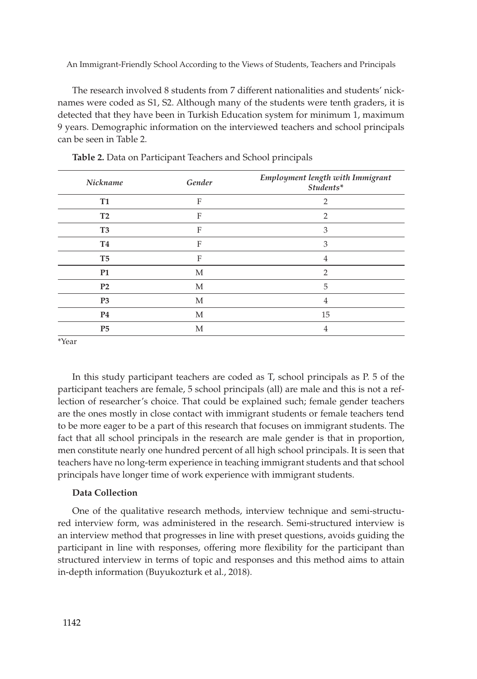The research involved 8 students from 7 different nationalities and students' nicknames were coded as S1, S2. Although many of the students were tenth graders, it is detected that they have been in Turkish Education system for minimum 1, maximum 9 years. Demographic information on the interviewed teachers and school principals can be seen in Table 2.

| Nickname       | Gender | Employment length with Immigrant<br>Students* |
|----------------|--------|-----------------------------------------------|
| <b>T1</b>      | F      | $\overline{2}$                                |
| T <sub>2</sub> | F      | $\overline{2}$                                |
| T <sub>3</sub> | F      | 3                                             |
| <b>T4</b>      | F      | 3                                             |
| T <sub>5</sub> | F      | $\overline{4}$                                |
| <b>P1</b>      | M      | $\overline{2}$                                |
| P <sub>2</sub> | М      | 5                                             |
| P <sub>3</sub> | М      | 4                                             |
| P <sub>4</sub> | M      | 15                                            |
| P <sub>5</sub> | M      | 4                                             |

**Table 2.** Data on Participant Teachers and School principals

\*Year

In this study participant teachers are coded as T, school principals as P. 5 of the participant teachers are female, 5 school principals (all) are male and this is not a reflection of researcher's choice. That could be explained such; female gender teachers are the ones mostly in close contact with immigrant students or female teachers tend to be more eager to be a part of this research that focuses on immigrant students. The fact that all school principals in the research are male gender is that in proportion, men constitute nearly one hundred percent of all high school principals. It is seen that teachers have no long-term experience in teaching immigrant students and that school principals have longer time of work experience with immigrant students.

#### **Data Collection**

One of the qualitative research methods, interview technique and semi-structured interview form, was administered in the research. Semi-structured interview is an interview method that progresses in line with preset questions, avoids guiding the participant in line with responses, offering more flexibility for the participant than structured interview in terms of topic and responses and this method aims to attain in-depth information (Buyukozturk et al., 2018).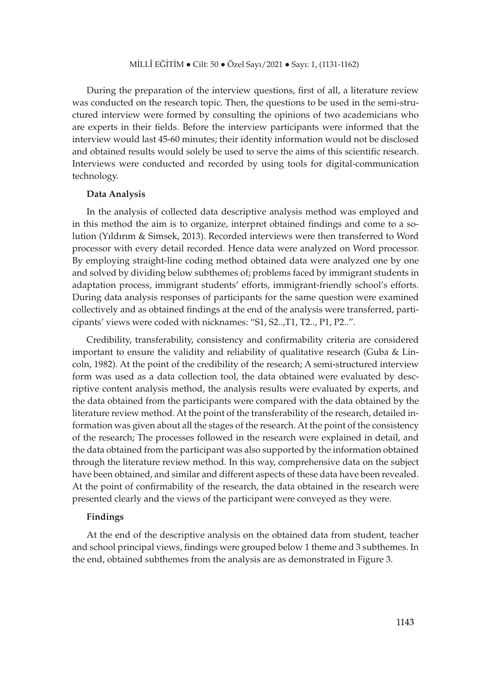During the preparation of the interview questions, first of all, a literature review was conducted on the research topic. Then, the questions to be used in the semi-structured interview were formed by consulting the opinions of two academicians who are experts in their fields. Before the interview participants were informed that the interview would last 45-60 minutes; their identity information would not be disclosed and obtained results would solely be used to serve the aims of this scientific research. Interviews were conducted and recorded by using tools for digital-communication technology.

#### **Data Analysis**

In the analysis of collected data descriptive analysis method was employed and in this method the aim is to organize, interpret obtained findings and come to a solution (Yıldırım & Simsek, 2013). Recorded interviews were then transferred to Word processor with every detail recorded. Hence data were analyzed on Word processor. By employing straight-line coding method obtained data were analyzed one by one and solved by dividing below subthemes of; problems faced by immigrant students in adaptation process, immigrant students' efforts, immigrant-friendly school's efforts. During data analysis responses of participants for the same question were examined collectively and as obtained findings at the end of the analysis were transferred, participants' views were coded with nicknames: "S1, S2..,T1, T2.., P1, P2..".

Credibility, transferability, consistency and confirmability criteria are considered important to ensure the validity and reliability of qualitative research (Guba & Lincoln, 1982). At the point of the credibility of the research; A semi-structured interview form was used as a data collection tool, the data obtained were evaluated by descriptive content analysis method, the analysis results were evaluated by experts, and the data obtained from the participants were compared with the data obtained by the literature review method. At the point of the transferability of the research, detailed information was given about all the stages of the research. At the point of the consistency of the research; The processes followed in the research were explained in detail, and the data obtained from the participant was also supported by the information obtained through the literature review method. In this way, comprehensive data on the subject have been obtained, and similar and different aspects of these data have been revealed. At the point of confirmability of the research, the data obtained in the research were presented clearly and the views of the participant were conveyed as they were.

## **Findings**

At the end of the descriptive analysis on the obtained data from student, teacher and school principal views, findings were grouped below 1 theme and 3 subthemes. In the end, obtained subthemes from the analysis are as demonstrated in Figure 3.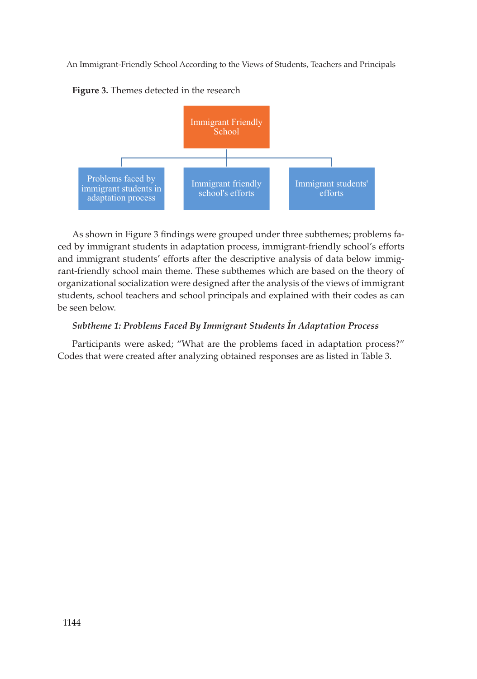**Figure 3.** Themes detected in the research



As shown in Figure 3 findings were grouped under three subthemes; problems faced by immigrant students in adaptation process, immigrant-friendly school's efforts and immigrant students' efforts after the descriptive analysis of data below immigrant-friendly school main theme. These subthemes which are based on the theory of organizational socialization were designed after the analysis of the views of immigrant students, school teachers and school principals and explained with their codes as can be seen below.

## *Subtheme 1: Problems Faced By Immigrant Students İn Adaptation Process*

Participants were asked; "What are the problems faced in adaptation process?" Codes that were created after analyzing obtained responses are as listed in Table 3.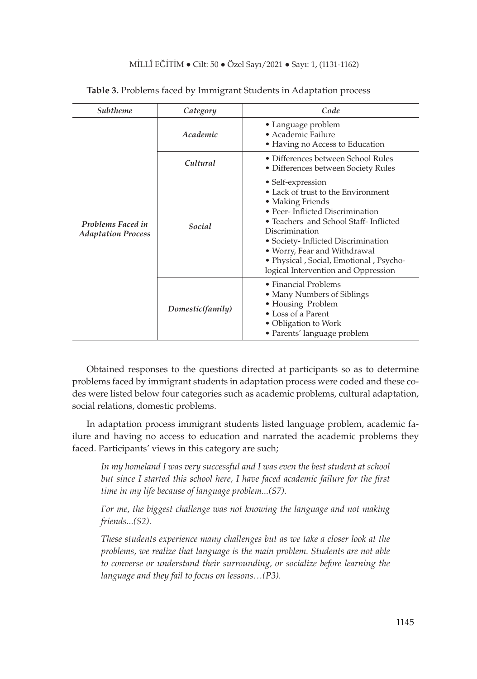| Subtheme                                       | Category         | Code                                                                                                                                                                                                                                                                                                                                  |  |
|------------------------------------------------|------------------|---------------------------------------------------------------------------------------------------------------------------------------------------------------------------------------------------------------------------------------------------------------------------------------------------------------------------------------|--|
| Problems Faced in<br><b>Adaptation Process</b> | Academic         | • Language problem<br>• Academic Failure<br>• Having no Access to Education                                                                                                                                                                                                                                                           |  |
|                                                | Cultural         | • Differences between School Rules<br>• Differences between Society Rules                                                                                                                                                                                                                                                             |  |
|                                                | Social           | • Self-expression<br>• Lack of trust to the Environment<br>• Making Friends<br>• Peer- Inflicted Discrimination<br>• Teachers and School Staff- Inflicted<br>Discrimination<br>• Society- Inflicted Discrimination<br>• Worry, Fear and Withdrawal<br>• Physical , Social, Emotional , Psycho-<br>logical Intervention and Oppression |  |
|                                                | Domestic(family) | • Financial Problems<br>• Many Numbers of Siblings<br>• Housing Problem<br>• Loss of a Parent<br>• Obligation to Work<br>• Parents' language problem                                                                                                                                                                                  |  |

#### **Table 3.** Problems faced by Immigrant Students in Adaptation process

Obtained responses to the questions directed at participants so as to determine problems faced by immigrant students in adaptation process were coded and these codes were listed below four categories such as academic problems, cultural adaptation, social relations, domestic problems.

In adaptation process immigrant students listed language problem, academic failure and having no access to education and narrated the academic problems they faced. Participants' views in this category are such;

*In my homeland I was very successful and I was even the best student at school but since I started this school here, I have faced academic failure for the first time in my life because of language problem...(S7).*

*For me, the biggest challenge was not knowing the language and not making friends...(S2).*

*These students experience many challenges but as we take a closer look at the problems, we realize that language is the main problem. Students are not able to converse or understand their surrounding, or socialize before learning the language and they fail to focus on lessons…(P3).*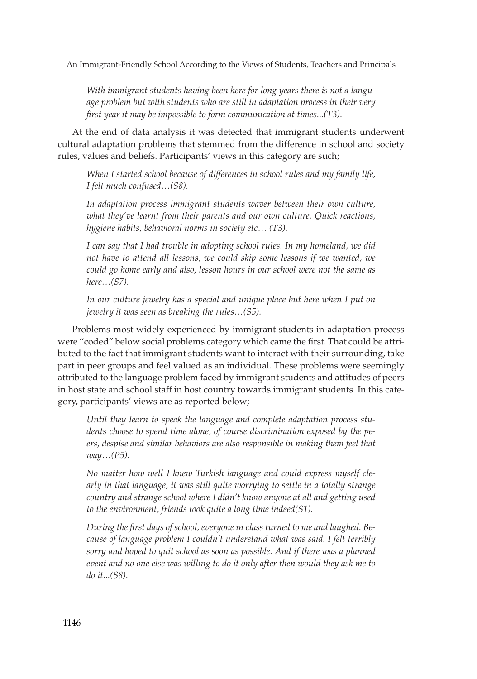*With immigrant students having been here for long years there is not a language problem but with students who are still in adaptation process in their very first year it may be impossible to form communication at times...(T3).*

At the end of data analysis it was detected that immigrant students underwent cultural adaptation problems that stemmed from the difference in school and society rules, values and beliefs. Participants' views in this category are such;

*When I started school because of differences in school rules and my family life, I felt much confused…(S8).*

*In adaptation process immigrant students waver between their own culture, what they've learnt from their parents and our own culture. Quick reactions, hygiene habits, behavioral norms in society etc… (T3).*

*I can say that I had trouble in adopting school rules. In my homeland, we did not have to attend all lessons, we could skip some lessons if we wanted, we could go home early and also, lesson hours in our school were not the same as here…(S7).*

In our culture jewelry has a special and unique place but here when I put on *jewelry it was seen as breaking the rules…(S5).*

Problems most widely experienced by immigrant students in adaptation process were "coded" below social problems category which came the first. That could be attributed to the fact that immigrant students want to interact with their surrounding, take part in peer groups and feel valued as an individual. These problems were seemingly attributed to the language problem faced by immigrant students and attitudes of peers in host state and school staff in host country towards immigrant students. In this category, participants' views are as reported below;

*Until they learn to speak the language and complete adaptation process students choose to spend time alone, of course discrimination exposed by the peers, despise and similar behaviors are also responsible in making them feel that way…(P5).*

*No matter how well I knew Turkish language and could express myself clearly in that language, it was still quite worrying to settle in a totally strange country and strange school where I didn't know anyone at all and getting used to the environment, friends took quite a long time indeed(S1).* 

*During the first days of school, everyone in class turned to me and laughed. Because of language problem I couldn't understand what was said. I felt terribly sorry and hoped to quit school as soon as possible. And if there was a planned event and no one else was willing to do it only after then would they ask me to do it...(S8).*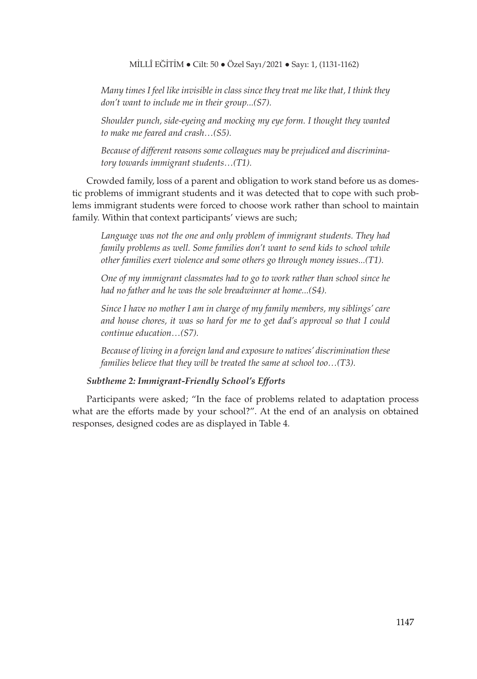*Many times I feel like invisible in class since they treat me like that, I think they don't want to include me in their group...(S7).*

*Shoulder punch, side-eyeing and mocking my eye form. I thought they wanted to make me feared and crash…(S5).*

*Because of different reasons some colleagues may be prejudiced and discriminatory towards immigrant students…(T1).*

Crowded family, loss of a parent and obligation to work stand before us as domestic problems of immigrant students and it was detected that to cope with such problems immigrant students were forced to choose work rather than school to maintain family. Within that context participants' views are such;

*Language was not the one and only problem of immigrant students. They had family problems as well. Some families don't want to send kids to school while other families exert violence and some others go through money issues...(T1).*

*One of my immigrant classmates had to go to work rather than school since he had no father and he was the sole breadwinner at home...(S4).*

*Since I have no mother I am in charge of my family members, my siblings' care and house chores, it was so hard for me to get dad's approval so that I could continue education…(S7).*

*Because of living in a foreign land and exposure to natives' discrimination these families believe that they will be treated the same at school too…(T3).*

## *Subtheme 2: Immigrant-Friendly School's Efforts*

Participants were asked; "In the face of problems related to adaptation process what are the efforts made by your school?". At the end of an analysis on obtained responses, designed codes are as displayed in Table 4.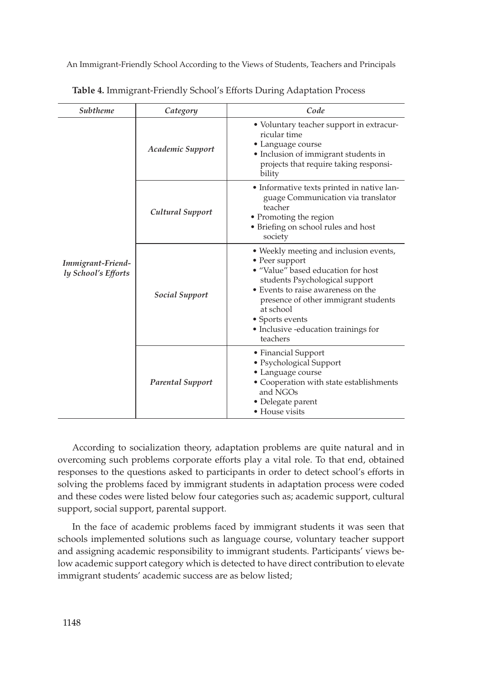| Subtheme                                 | Category                | Code                                                                                                                                                                                                                                                                                               |  |
|------------------------------------------|-------------------------|----------------------------------------------------------------------------------------------------------------------------------------------------------------------------------------------------------------------------------------------------------------------------------------------------|--|
| Immigrant-Friend-<br>ly School's Efforts | Academic Support        | • Voluntary teacher support in extracur-<br>ricular time<br>• Language course<br>· Inclusion of immigrant students in<br>projects that require taking responsi-<br>bility                                                                                                                          |  |
|                                          | Cultural Support        | • Informative texts printed in native lan-<br>guage Communication via translator<br>teacher<br>• Promoting the region<br>• Briefing on school rules and host<br>society                                                                                                                            |  |
|                                          | Social Support          | • Weekly meeting and inclusion events,<br>• Peer support<br>· "Value" based education for host<br>students Psychological support<br>• Events to raise awareness on the<br>presence of other immigrant students<br>at school<br>• Sports events<br>• Inclusive -education trainings for<br>teachers |  |
|                                          | <b>Parental Support</b> | • Financial Support<br>• Psychological Support<br>• Language course<br>• Cooperation with state establishments<br>and NGOs<br>• Delegate parent<br>• House visits                                                                                                                                  |  |

**Table 4.** Immigrant-Friendly School's Efforts During Adaptation Process

According to socialization theory, adaptation problems are quite natural and in overcoming such problems corporate efforts play a vital role. To that end, obtained responses to the questions asked to participants in order to detect school's efforts in solving the problems faced by immigrant students in adaptation process were coded and these codes were listed below four categories such as; academic support, cultural support, social support, parental support.

In the face of academic problems faced by immigrant students it was seen that schools implemented solutions such as language course, voluntary teacher support and assigning academic responsibility to immigrant students. Participants' views below academic support category which is detected to have direct contribution to elevate immigrant students' academic success are as below listed;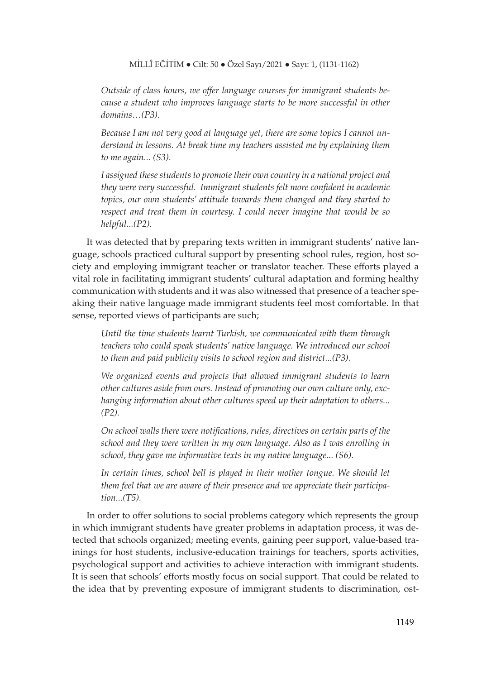*Outside of class hours, we offer language courses for immigrant students because a student who improves language starts to be more successful in other domains…(P3).*

*Because I am not very good at language yet, there are some topics I cannot understand in lessons. At break time my teachers assisted me by explaining them to me again... (S3).*

*I assigned these students to promote their own country in a national project and they were very successful. Immigrant students felt more confident in academic topics, our own students' attitude towards them changed and they started to respect and treat them in courtesy. I could never imagine that would be so helpful...(P2).*

It was detected that by preparing texts written in immigrant students' native language, schools practiced cultural support by presenting school rules, region, host society and employing immigrant teacher or translator teacher. These efforts played a vital role in facilitating immigrant students' cultural adaptation and forming healthy communication with students and it was also witnessed that presence of a teacher speaking their native language made immigrant students feel most comfortable. In that sense, reported views of participants are such;

*Until the time students learnt Turkish, we communicated with them through teachers who could speak students' native language. We introduced our school to them and paid publicity visits to school region and district...(P3).*

*We organized events and projects that allowed immigrant students to learn other cultures aside from ours. Instead of promoting our own culture only, exchanging information about other cultures speed up their adaptation to others... (P2).*

*On school walls there were notifications, rules, directives on certain parts of the school and they were written in my own language. Also as I was enrolling in school, they gave me informative texts in my native language... (S6).*

In certain times, school bell is played in their mother tongue. We should let *them feel that we are aware of their presence and we appreciate their participation...(T5).*

In order to offer solutions to social problems category which represents the group in which immigrant students have greater problems in adaptation process, it was detected that schools organized; meeting events, gaining peer support, value-based trainings for host students, inclusive-education trainings for teachers, sports activities, psychological support and activities to achieve interaction with immigrant students. It is seen that schools' efforts mostly focus on social support. That could be related to the idea that by preventing exposure of immigrant students to discrimination, ost-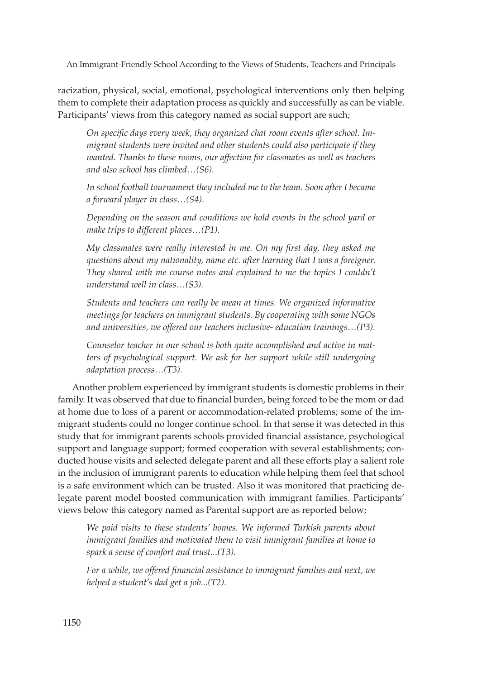racization, physical, social, emotional, psychological interventions only then helping them to complete their adaptation process as quickly and successfully as can be viable. Participants' views from this category named as social support are such;

*On specific days every week, they organized chat room events after school. Immigrant students were invited and other students could also participate if they wanted. Thanks to these rooms, our affection for classmates as well as teachers and also school has climbed…(S6).*

*In school football tournament they included me to the team. Soon after I became a forward player in class…(S4).*

*Depending on the season and conditions we hold events in the school yard or make trips to different places…(P1).*

*My classmates were really interested in me. On my first day, they asked me questions about my nationality, name etc. after learning that I was a foreigner. They shared with me course notes and explained to me the topics I couldn't understand well in class…(S3).*

*Students and teachers can really be mean at times. We organized informative meetings for teachers on immigrant students. By cooperating with some NGOs and universities, we offered our teachers inclusive- education trainings…(P3).*

*Counselor teacher in our school is both quite accomplished and active in matters of psychological support. We ask for her support while still undergoing adaptation process…(T3).*

Another problem experienced by immigrant students is domestic problems in their family. It was observed that due to financial burden, being forced to be the mom or dad at home due to loss of a parent or accommodation-related problems; some of the immigrant students could no longer continue school. In that sense it was detected in this study that for immigrant parents schools provided financial assistance, psychological support and language support; formed cooperation with several establishments; conducted house visits and selected delegate parent and all these efforts play a salient role in the inclusion of immigrant parents to education while helping them feel that school is a safe environment which can be trusted. Also it was monitored that practicing delegate parent model boosted communication with immigrant families. Participants' views below this category named as Parental support are as reported below;

*We paid visits to these students' homes. We informed Turkish parents about immigrant families and motivated them to visit immigrant families at home to spark a sense of comfort and trust...(T3).*

*For a while, we offered financial assistance to immigrant families and next, we helped a student's dad get a job...(T2).*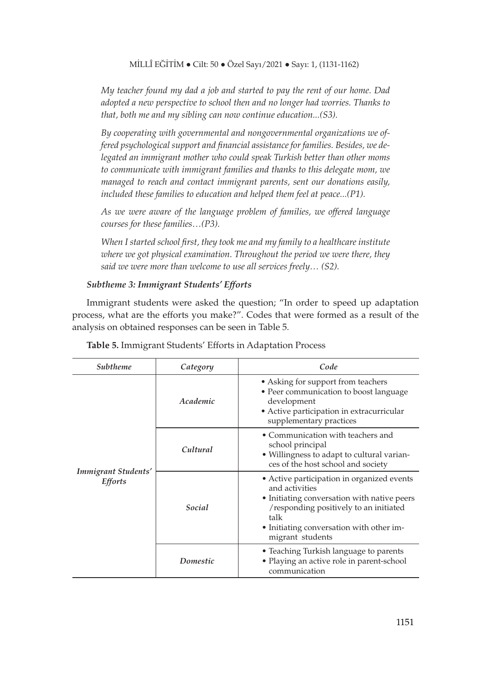*My teacher found my dad a job and started to pay the rent of our home. Dad adopted a new perspective to school then and no longer had worries. Thanks to that, both me and my sibling can now continue education...(S3).*

*By cooperating with governmental and nongovernmental organizations we offered psychological support and financial assistance for families. Besides, we delegated an immigrant mother who could speak Turkish better than other moms to communicate with immigrant families and thanks to this delegate mom, we managed to reach and contact immigrant parents, sent our donations easily, included these families to education and helped them feel at peace...(P1).*

*As we were aware of the language problem of families, we offered language courses for these families…(P3).*

*When I started school first, they took me and my family to a healthcare institute*  where we got physical examination. Throughout the period we were there, they *said we were more than welcome to use all services freely… (S2).*

## *Subtheme 3: Immigrant Students' Efforts*

Immigrant students were asked the question; "In order to speed up adaptation process, what are the efforts you make?". Codes that were formed as a result of the analysis on obtained responses can be seen in Table 5.

| Subtheme                              | Category | Code                                                                                                                                                                                                                          |  |
|---------------------------------------|----------|-------------------------------------------------------------------------------------------------------------------------------------------------------------------------------------------------------------------------------|--|
| Immigrant Students'<br><b>Efforts</b> | Academic | • Asking for support from teachers<br>• Peer communication to boost language<br>development<br>• Active participation in extracurricular<br>supplementary practices                                                           |  |
|                                       | Cultural | • Communication with teachers and<br>school principal<br>• Willingness to adapt to cultural varian-<br>ces of the host school and society                                                                                     |  |
|                                       | Social   | • Active participation in organized events<br>and activities<br>• Initiating conversation with native peers<br>/responding positively to an initiated<br>talk<br>• Initiating conversation with other im-<br>migrant students |  |
|                                       | Domestic | • Teaching Turkish language to parents<br>• Playing an active role in parent-school<br>communication                                                                                                                          |  |

**Table 5.** Immigrant Students' Efforts in Adaptation Process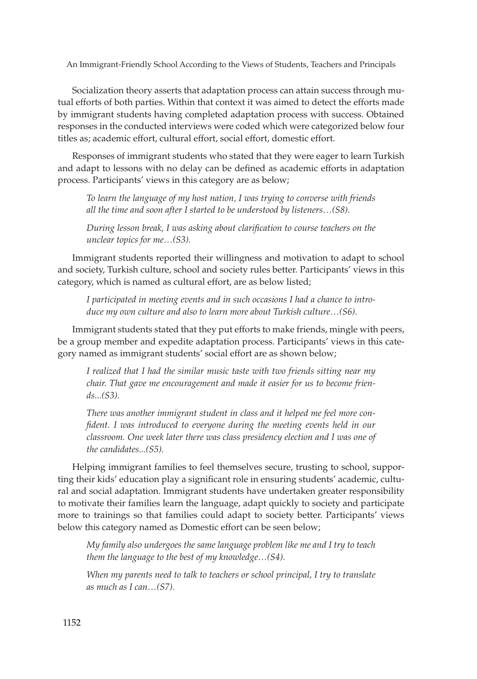Socialization theory asserts that adaptation process can attain success through mutual efforts of both parties. Within that context it was aimed to detect the efforts made by immigrant students having completed adaptation process with success. Obtained responses in the conducted interviews were coded which were categorized below four titles as; academic effort, cultural effort, social effort, domestic effort.

Responses of immigrant students who stated that they were eager to learn Turkish and adapt to lessons with no delay can be defined as academic efforts in adaptation process. Participants' views in this category are as below;

*To learn the language of my host nation, I was trying to converse with friends all the time and soon after I started to be understood by listeners…(S8).*

*During lesson break, I was asking about clarification to course teachers on the unclear topics for me…(S3).*

Immigrant students reported their willingness and motivation to adapt to school and society, Turkish culture, school and society rules better. Participants' views in this category, which is named as cultural effort, are as below listed;

*I participated in meeting events and in such occasions I had a chance to introduce my own culture and also to learn more about Turkish culture…(S6).*

Immigrant students stated that they put efforts to make friends, mingle with peers, be a group member and expedite adaptation process. Participants' views in this category named as immigrant students' social effort are as shown below;

*I realized that I had the similar music taste with two friends sitting near my chair. That gave me encouragement and made it easier for us to become friends...(S3).*

*There was another immigrant student in class and it helped me feel more confident. I was introduced to everyone during the meeting events held in our classroom. One week later there was class presidency election and I was one of the candidates...(S5).* 

Helping immigrant families to feel themselves secure, trusting to school, supporting their kids' education play a significant role in ensuring students' academic, cultural and social adaptation. Immigrant students have undertaken greater responsibility to motivate their families learn the language, adapt quickly to society and participate more to trainings so that families could adapt to society better. Participants' views below this category named as Domestic effort can be seen below;

*My family also undergoes the same language problem like me and I try to teach them the language to the best of my knowledge…(S4).*

*When my parents need to talk to teachers or school principal, I try to translate as much as I can…(S7).*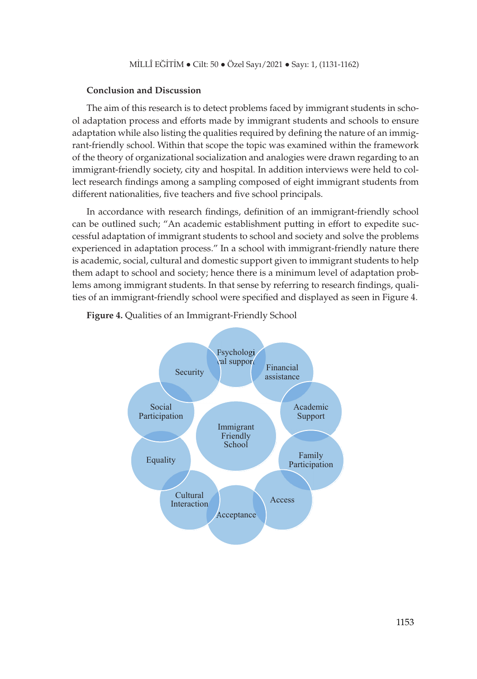#### **Conclusion and Discussion**

The aim of this research is to detect problems faced by immigrant students in school adaptation process and efforts made by immigrant students and schools to ensure adaptation while also listing the qualities required by defining the nature of an immigrant-friendly school. Within that scope the topic was examined within the framework of the theory of organizational socialization and analogies were drawn regarding to an immigrant-friendly society, city and hospital. In addition interviews were held to collect research findings among a sampling composed of eight immigrant students from different nationalities, five teachers and five school principals.

In accordance with research findings, definition of an immigrant-friendly school can be outlined such; "An academic establishment putting in effort to expedite successful adaptation of immigrant students to school and society and solve the problems experienced in adaptation process." In a school with immigrant-friendly nature there is academic, social, cultural and domestic support given to immigrant students to help them adapt to school and society; hence there is a minimum level of adaptation problems among immigrant students. In that sense by referring to research findings, qualities of an immigrant-friendly school were specified and displayed as seen in Figure 4.



**Figure 4.** Qualities of an Immigrant-Friendly School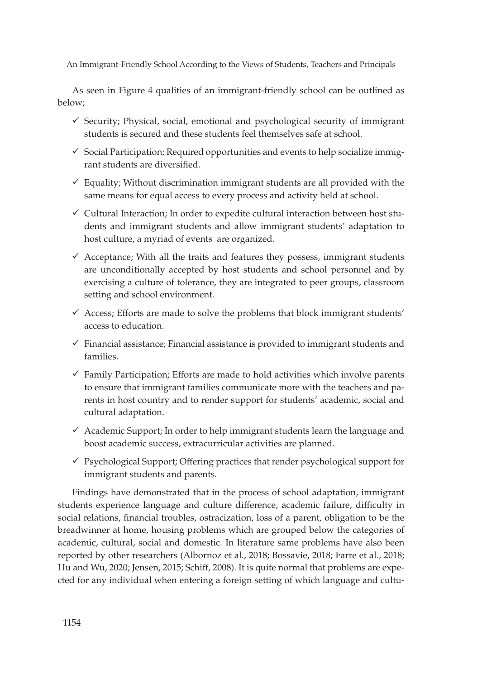As seen in Figure 4 qualities of an immigrant-friendly school can be outlined as below;

- $\checkmark$  Security; Physical, social, emotional and psychological security of immigrant students is secured and these students feel themselves safe at school.
- $\checkmark$  Social Participation; Required opportunities and events to help socialize immigrant students are diversified.
- $\checkmark$  Equality; Without discrimination immigrant students are all provided with the same means for equal access to every process and activity held at school.
- $\checkmark$  Cultural Interaction; In order to expedite cultural interaction between host students and immigrant students and allow immigrant students' adaptation to host culture, a myriad of events are organized.
- $\checkmark$  Acceptance; With all the traits and features they possess, immigrant students are unconditionally accepted by host students and school personnel and by exercising a culture of tolerance, they are integrated to peer groups, classroom setting and school environment.
- $\checkmark$  Access; Efforts are made to solve the problems that block immigrant students' access to education.
- $\checkmark$  Financial assistance; Financial assistance is provided to immigrant students and families.
- $\checkmark$  Family Participation; Efforts are made to hold activities which involve parents to ensure that immigrant families communicate more with the teachers and parents in host country and to render support for students' academic, social and cultural adaptation.
- $\checkmark$  Academic Support; In order to help immigrant students learn the language and boost academic success, extracurricular activities are planned.
- $\checkmark$  Psychological Support; Offering practices that render psychological support for immigrant students and parents.

Findings have demonstrated that in the process of school adaptation, immigrant students experience language and culture difference, academic failure, difficulty in social relations, financial troubles, ostracization, loss of a parent, obligation to be the breadwinner at home, housing problems which are grouped below the categories of academic, cultural, social and domestic. In literature same problems have also been reported by other researchers (Albornoz et al., 2018; Bossavie, 2018; Farre et al., 2018; Hu and Wu, 2020; Jensen, 2015; Schiff, 2008). It is quite normal that problems are expected for any individual when entering a foreign setting of which language and cultu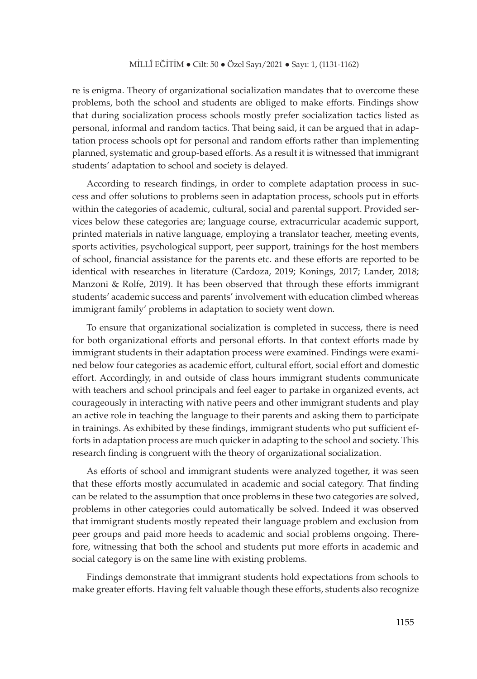re is enigma. Theory of organizational socialization mandates that to overcome these problems, both the school and students are obliged to make efforts. Findings show that during socialization process schools mostly prefer socialization tactics listed as personal, informal and random tactics. That being said, it can be argued that in adaptation process schools opt for personal and random efforts rather than implementing planned, systematic and group-based efforts. As a result it is witnessed that immigrant students' adaptation to school and society is delayed.

According to research findings, in order to complete adaptation process in success and offer solutions to problems seen in adaptation process, schools put in efforts within the categories of academic, cultural, social and parental support. Provided services below these categories are; language course, extracurricular academic support, printed materials in native language, employing a translator teacher, meeting events, sports activities, psychological support, peer support, trainings for the host members of school, financial assistance for the parents etc. and these efforts are reported to be identical with researches in literature (Cardoza, 2019; Konings, 2017; Lander, 2018; Manzoni & Rolfe, 2019). It has been observed that through these efforts immigrant students' academic success and parents' involvement with education climbed whereas immigrant family' problems in adaptation to society went down.

To ensure that organizational socialization is completed in success, there is need for both organizational efforts and personal efforts. In that context efforts made by immigrant students in their adaptation process were examined. Findings were examined below four categories as academic effort, cultural effort, social effort and domestic effort. Accordingly, in and outside of class hours immigrant students communicate with teachers and school principals and feel eager to partake in organized events, act courageously in interacting with native peers and other immigrant students and play an active role in teaching the language to their parents and asking them to participate in trainings. As exhibited by these findings, immigrant students who put sufficient efforts in adaptation process are much quicker in adapting to the school and society. This research finding is congruent with the theory of organizational socialization.

As efforts of school and immigrant students were analyzed together, it was seen that these efforts mostly accumulated in academic and social category. That finding can be related to the assumption that once problems in these two categories are solved, problems in other categories could automatically be solved. Indeed it was observed that immigrant students mostly repeated their language problem and exclusion from peer groups and paid more heeds to academic and social problems ongoing. Therefore, witnessing that both the school and students put more efforts in academic and social category is on the same line with existing problems.

Findings demonstrate that immigrant students hold expectations from schools to make greater efforts. Having felt valuable though these efforts, students also recognize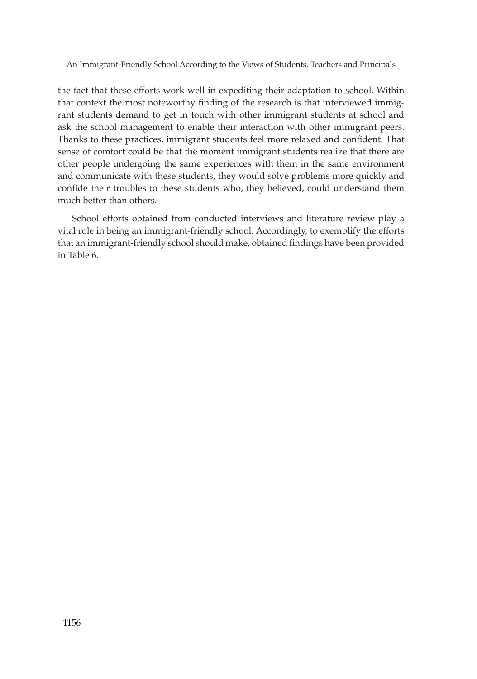the fact that these efforts work well in expediting their adaptation to school. Within that context the most noteworthy finding of the research is that interviewed immigrant students demand to get in touch with other immigrant students at school and ask the school management to enable their interaction with other immigrant peers. Thanks to these practices, immigrant students feel more relaxed and confident. That sense of comfort could be that the moment immigrant students realize that there are other people undergoing the same experiences with them in the same environment and communicate with these students, they would solve problems more quickly and confide their troubles to these students who, they believed, could understand them much better than others.

School efforts obtained from conducted interviews and literature review play a vital role in being an immigrant-friendly school. Accordingly, to exemplify the efforts that an immigrant-friendly school should make, obtained findings have been provided in Table 6.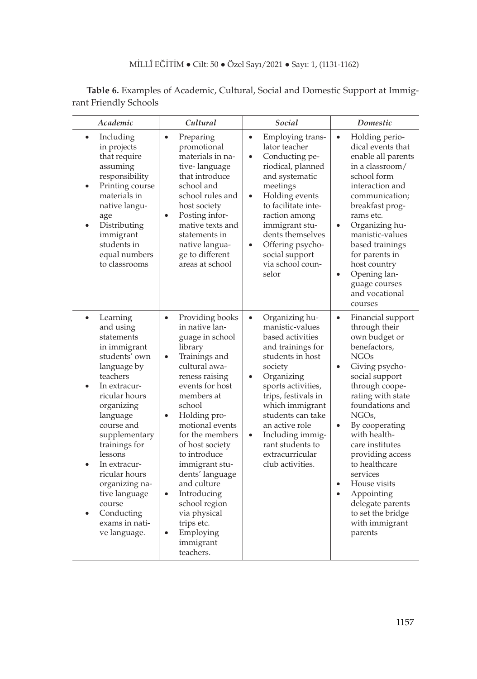| Table 6. Examples of Academic, Cultural, Social and Domestic Support at Immig- |  |  |
|--------------------------------------------------------------------------------|--|--|
| rant Friendly Schools                                                          |  |  |

| Academic                                                                                                                                                                                                                                                                                                                                                                                   | Cultural                                                                                                                                                                                                                                                                                                                                                                                                                                                                          | Social                                                                                                                                                                                                                                                                                                                                       | Domestic                                                                                                                                                                                                                                                                                                                                                                                                                                                                        |  |
|--------------------------------------------------------------------------------------------------------------------------------------------------------------------------------------------------------------------------------------------------------------------------------------------------------------------------------------------------------------------------------------------|-----------------------------------------------------------------------------------------------------------------------------------------------------------------------------------------------------------------------------------------------------------------------------------------------------------------------------------------------------------------------------------------------------------------------------------------------------------------------------------|----------------------------------------------------------------------------------------------------------------------------------------------------------------------------------------------------------------------------------------------------------------------------------------------------------------------------------------------|---------------------------------------------------------------------------------------------------------------------------------------------------------------------------------------------------------------------------------------------------------------------------------------------------------------------------------------------------------------------------------------------------------------------------------------------------------------------------------|--|
| Including<br>٠<br>in projects<br>that require<br>assuming<br>responsibility<br>Printing course<br>$\bullet$<br>materials in<br>native langu-<br>age<br>Distributing<br>immigrant<br>students in<br>equal numbers<br>to classrooms                                                                                                                                                          | Preparing<br>$\bullet$<br>promotional<br>materials in na-<br>tive-language<br>that introduce<br>school and<br>school rules and<br>host society<br>Posting infor-<br>$\bullet$<br>mative texts and<br>statements in<br>native langua-<br>ge to different<br>areas at school                                                                                                                                                                                                        | Employing trans-<br>$\bullet$<br>lator teacher<br>Conducting pe-<br>$\bullet$<br>riodical, planned<br>and systematic<br>meetings<br>Holding events<br>$\bullet$<br>to facilitate inte-<br>raction among<br>immigrant stu-<br>dents themselves<br>Offering psycho-<br>$\bullet$<br>social support<br>via school coun-<br>selor                | Holding perio-<br>$\bullet$<br>dical events that<br>enable all parents<br>in a classroom/<br>school form<br>interaction and<br>communication;<br>breakfast prog-<br>rams etc.<br>Organizing hu-<br>$\bullet$<br>manistic-values<br>based trainings<br>for parents in<br>host country<br>Opening lan-<br>$\bullet$<br>guage courses<br>and vocational<br>courses                                                                                                                 |  |
| Learning<br>$\bullet$<br>and using<br>statements<br>in immigrant<br>students' own<br>language by<br>teachers<br>In extracur-<br>$\bullet$<br>ricular hours<br>organizing<br>language<br>course and<br>supplementary<br>trainings for<br>lessons<br>In extracur-<br>$\bullet$<br>ricular hours<br>organizing na-<br>tive language<br>course<br>Conducting<br>exams in nati-<br>ve language. | Providing books<br>$\bullet$<br>in native lan-<br>guage in school<br>library<br>Trainings and<br>$\bullet$<br>cultural awa-<br>reness raising<br>events for host<br>members at<br>school<br>Holding pro-<br>$\bullet$<br>motional events<br>for the members<br>of host society<br>to introduce<br>immigrant stu-<br>dents' language<br>and culture<br>Introducing<br>$\bullet$<br>school region<br>via physical<br>trips etc.<br>Employing<br>$\bullet$<br>immigrant<br>teachers. | Organizing hu-<br>٠<br>manistic-values<br>based activities<br>and trainings for<br>students in host<br>society<br>Organizing<br>$\bullet$<br>sports activities,<br>trips, festivals in<br>which immigrant<br>students can take<br>an active role<br>Including immig-<br>$\bullet$<br>rant students to<br>extracurricular<br>club activities. | Financial support<br>$\bullet$<br>through their<br>own budget or<br>benefactors,<br><b>NGOs</b><br>Giving psycho-<br>$\bullet$<br>social support<br>through coope-<br>rating with state<br>foundations and<br>NGO <sub>s</sub><br>By cooperating<br>$\bullet$<br>with health-<br>care institutes<br>providing access<br>to healthcare<br>services<br>House visits<br>$\bullet$<br>Appointing<br>$\bullet$<br>delegate parents<br>to set the bridge<br>with immigrant<br>parents |  |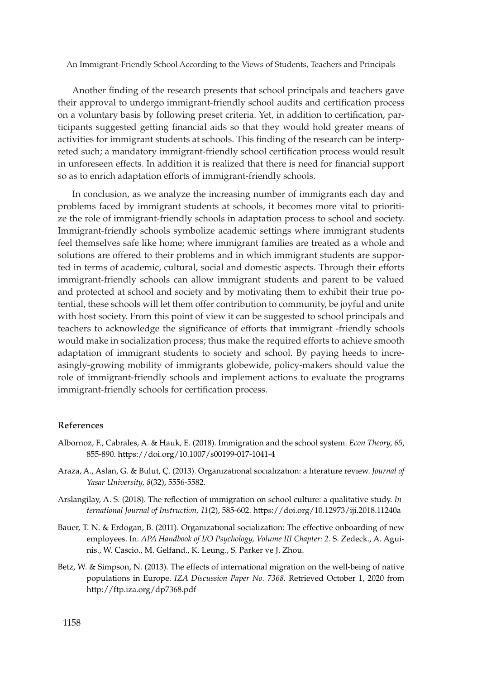Another finding of the research presents that school principals and teachers gave their approval to undergo immigrant-friendly school audits and certification process on a voluntary basis by following preset criteria. Yet, in addition to certification, participants suggested getting financial aids so that they would hold greater means of activities for immigrant students at schools. This finding of the research can be interpreted such; a mandatory immigrant-friendly school certification process would result in unforeseen effects. In addition it is realized that there is need for financial support so as to enrich adaptation efforts of immigrant-friendly schools.

In conclusion, as we analyze the increasing number of immigrants each day and problems faced by immigrant students at schools, it becomes more vital to prioritize the role of immigrant-friendly schools in adaptation process to school and society. Immigrant-friendly schools symbolize academic settings where immigrant students feel themselves safe like home; where immigrant families are treated as a whole and solutions are offered to their problems and in which immigrant students are supported in terms of academic, cultural, social and domestic aspects. Through their efforts immigrant-friendly schools can allow immigrant students and parent to be valued and protected at school and society and by motivating them to exhibit their true potential, these schools will let them offer contribution to community, be joyful and unite with host society. From this point of view it can be suggested to school principals and teachers to acknowledge the significance of efforts that immigrant -friendly schools would make in socialization process; thus make the required efforts to achieve smooth adaptation of immigrant students to society and school. By paying heeds to increasingly-growing mobility of immigrants globewide, policy-makers should value the role of immigrant-friendly schools and implement actions to evaluate the programs immigrant-friendly schools for certification process.

#### **References**

- Albornoz, F., Cabrales, A. & Hauk, E. (2018). Immigration and the school system. *Econ Theory, 65*, 855-890. https://doi.org/10.1007/s00199-017-1041-4
- Araza, A., Aslan, G. & Bulut, Ç. (2013). Organızatıonal socıalızatıon: a lıterature revıew. *Journal of Yasar University, 8*(32), 5556-5582.
- Arslangilay, A. S. (2018). The reflection of ımmigration on school culture: a qualitative study. *International Journal of Instruction, 11*(2), 585-602. https://doi.org/10.12973/iji.2018.11240a
- Bauer, T. N. & Erdogan, B. (2011). Organızatıonal socialization: The effective onboarding of new employees. In. *APA Handbook of I/O Psychology, Volume III Chapter: 2.* S. Zedeck., A. Aguinis., W. Cascio., M. Gelfand., K. Leung., S. Parker ve J. Zhou.
- Betz, W. & Simpson, N. (2013). The effects of international migration on the well-being of native populations in Europe. *IZA Discussion Paper No. 7368.* Retrieved October 1, 2020 from http://ftp.iza.org/dp7368.pdf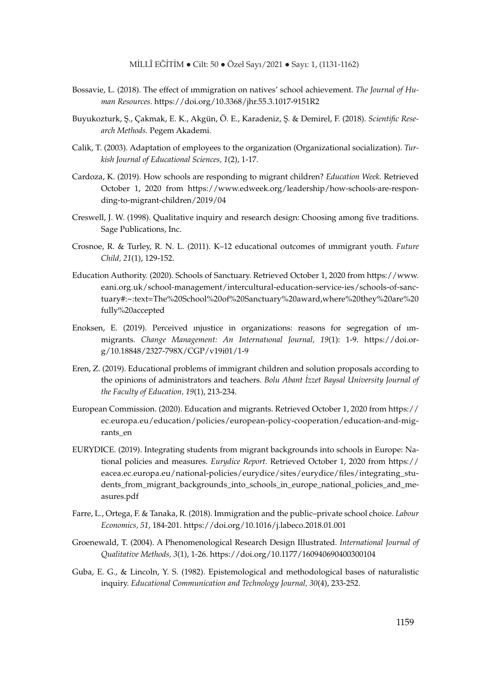- Bossavie, L. (2018). The effect of ımmigration on natives' school achievement. *The Journal of Human Resources.* https://doi.org/10.3368/jhr.55.3.1017-9151R2
- Buyukozturk, Ş., Çakmak, E. K., Akgün, Ö. E., Karadeniz, Ş. & Demirel, F. (2018). *Scientific Research Methods.* Pegem Akademi.
- Calik, T. (2003). Adaptation of employees to the organization (Organizational socialization). *Turkish Journal of Educational Sciences, 1*(2), 1-17.
- Cardoza, K. (2019). How schools are responding to migrant children? *Education Week.* Retrieved October 1, 2020 from https://www.edweek.org/leadership/how-schools-are-responding-to-migrant-children/2019/04
- Creswell, J. W. (1998). Qualitative inquiry and research design: Choosing among five traditions. Sage Publications, Inc.
- Crosnoe, R. & Turley, R. N. L. (2011). K–12 educational outcomes of ımmigrant youth. *Future Child, 21*(1), 129-152.
- Education Authority. (2020). Schools of Sanctuary. Retrieved October 1, 2020 from https://www. eani.org.uk/school-management/intercultural-education-service-ies/schools-of-sanctuary#:~:text=The%20School%20of%20Sanctuary%20award,where%20they%20are%20 fully%20accepted
- Enoksen, E. (2019). Perceived ınjustice in organizations: reasons for segregation of ımmigrants. *Change Management: An Internatıonal Journal, 19*(1): 1-9. https://doi.org/10.18848/2327-798X/CGP/v19i01/1-9
- Eren, Z. (2019). Educational problems of immigrant children and solution proposals according to the opinions of administrators and teachers. *Bolu Abant İzzet Baysal University Journal of the Faculty of Education, 19*(1), 213-234.
- European Commission. (2020). Education and migrants. Retrieved October 1, 2020 from https:// ec.europa.eu/education/policies/european-policy-cooperation/education-and-migrants\_en
- EURYDICE. (2019). Integrating students from migrant backgrounds into schools in Europe: National policies and measures. *Eurydice Report.* Retrieved October 1, 2020 from https:// eacea.ec.europa.eu/national-policies/eurydice/sites/eurydice/files/integrating\_students\_from\_migrant\_backgrounds\_into\_schools\_in\_europe\_national\_policies\_and\_measures.pdf
- Farre, L., Ortega, F. & Tanaka, R. (2018). Immigration and the public–private school choice. *Labour Economics, 51*, 184-201. https://doi.org/10.1016/j.labeco.2018.01.001
- Groenewald, T. (2004). A Phenomenological Research Design Illustrated. *International Journal of Qualitative Methods, 3*(1), 1-26. https://doi.org/10.1177/160940690400300104
- Guba, E. G., & Lincoln, Y. S. (1982). Epistemological and methodological bases of naturalistic inquiry. *Educational Communication and Technology Journal, 30*(4), 233-252.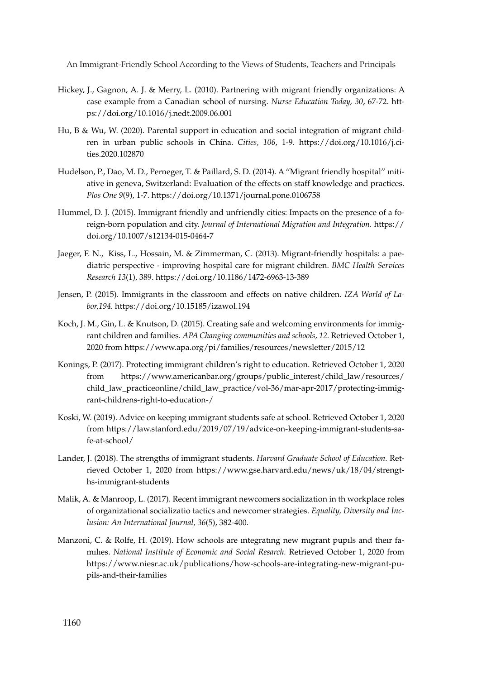- Hickey, J., Gagnon, A. J. & Merry, L. (2010). Partnering with migrant friendly organizations: A case example from a Canadian school of nursing. *Nurse Education Today, 30*, 67-72. https://doi.org/10.1016/j.nedt.2009.06.001
- Hu, B & Wu, W. (2020). Parental support in education and social integration of migrant children in urban public schools in China. *Cities, 106*, 1-9. https://doi.org/10.1016/j.cities.2020.102870
- Hudelson, P., Dao, M. D., Perneger, T. & Paillard, S. D. (2014). A ''Migrant friendly hospital'' ınitiative in geneva, Switzerland: Evaluation of the effects on staff knowledge and practices. *Plos One 9*(9), 1-7. https://doi.org/10.1371/journal.pone.0106758
- Hummel, D. J. (2015). Immigrant friendly and unfriendly cities: Impacts on the presence of a foreign-born population and city. *Journal of International Migration and Integration.* https:// doi.org/10.1007/s12134-015-0464-7
- Jaeger, F. N., Kiss, L., Hossain, M. & Zimmerman, C. (2013). Migrant-friendly hospitals: a paediatric perspective - improving hospital care for migrant children. *BMC Health Services Research 13*(1), 389. https://doi.org/10.1186/1472-6963-13-389
- Jensen, P. (2015). Immigrants in the classroom and effects on native children. *IZA World of Labor,194.* https://doi.org/10.15185/izawol.194
- Koch, J. M., Gin, L. & Knutson, D. (2015). Creating safe and welcoming environments for immigrant children and families. *APA Changing communities and schools, 12.* Retrieved October 1, 2020 from https://www.apa.org/pi/families/resources/newsletter/2015/12
- Konings, P. (2017). Protecting immigrant children's right to education. Retrieved October 1, 2020 from https://www.americanbar.org/groups/public\_interest/child\_law/resources/ child\_law\_practiceonline/child\_law\_practice/vol-36/mar-apr-2017/protecting-immigrant-childrens-right-to-education-/
- Koski, W. (2019). Advice on keeping ımmigrant students safe at school. Retrieved October 1, 2020 from https://law.stanford.edu/2019/07/19/advice-on-keeping-immigrant-students-safe-at-school/
- Lander, J. (2018). The strengths of immigrant students. *Harvard Graduate School of Education.* Retrieved October 1, 2020 from https://www.gse.harvard.edu/news/uk/18/04/strengths-immigrant-students
- Malik, A. & Manroop, L. (2017). Recent immigrant newcomers socialization in th workplace roles of organizational socializatio tactics and newcomer strategies. *Equality, Diversity and Inclusion: An International Journal, 36*(5), 382-400.
- Manzoni, C. & Rolfe, H. (2019). How schools are ıntegratıng new mıgrant pupıls and theır famılıes. *National Institute of Economic and Social Resarch.* Retrieved October 1, 2020 from https://www.niesr.ac.uk/publications/how-schools-are-integrating-new-migrant-pupils-and-their-families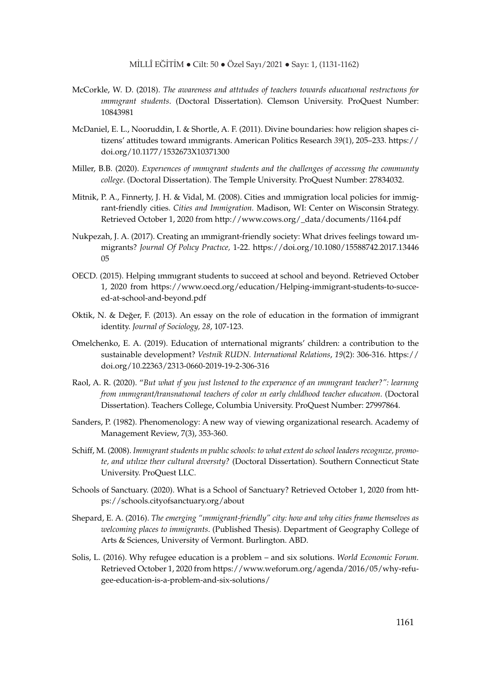- McCorkle, W. D. (2018). *The awareness and attıtudes of teachers towards educatıonal restrıctıons for ımmıgrant students*. (Doctoral Dissertation). Clemson University. ProQuest Number: 10843981
- McDaniel, E. L., Nooruddin, I. & Shortle, A. F. (2011). Divine boundaries: how religion shapes citizens' attitudes toward ımmigrants. American Politics Research *39*(1), 205–233. https:// doi.org/10.1177/1532673X10371300
- Miller, B.B. (2020). *Experıences of ımmıgrant students and the challenges of accessıng the communıty college*. (Doctoral Dissertation). The Temple University. ProQuest Number: 27834032.
- Mitnik, P. A., Finnerty, J. H. & Vidal, M. (2008). Cities and ımmigration local policies for immigrant-friendly cities. *Cities and Immigration.* Madison, WI: Center on Wisconsin Strategy. Retrieved October 1, 2020 from http://www.cows.org/\_data/documents/1164.pdf
- Nukpezah, J. A. (2017). Creating an ımmigrant-friendly society: What drives feelings toward ımmigrants? *Journal Of Polıcy Practıce,* 1-22. https://doi.org/10.1080/15588742.2017.13446 05
- OECD. (2015). Helping ımmıgrant students to succeed at school and beyond. Retrieved October 1, 2020 from https://www.oecd.org/education/Helping-immigrant-students-to-succeed-at-school-and-beyond.pdf
- Oktik, N. & Değer, F. (2013). An essay on the role of education in the formation of immigrant identity. *Journal of Sociology, 28*, 107-123.
- Omelchenko, E. A. (2019). Education of ınternational migrants' children: a contribution to the sustainable development? *Vestnik RUDN. International Relations*, *19*(2): 306-316. https:// doi.org/10.22363/2313-0660-2019-19-2-306-316
- Raol, A. R. (2020). "*But what ıf you just lıstened to the experıence of an ımmıgrant teacher?": learnıng from ımmıgrant/transnatıonal teachers of color ın early chıldhood teacher educatıon*. (Doctoral Dissertation). Teachers College, Columbia University. ProQuest Number: 27997864.
- Sanders, P. (1982). Phenomenology: A new way of viewing organizational research. Academy of Management Review, 7(3), 353-360.
- Schiff, M. (2008). *Immıgrant students ın publıc schools: to what extent do school leaders recognıze, promote, and utılıze theır cultural dıversıty?* (Doctoral Dissertation). Southern Connecticut State University. ProQuest LLC.
- Schools of Sanctuary. (2020). What is a School of Sanctuary? Retrieved October 1, 2020 from https://schools.cityofsanctuary.org/about
- Shepard, E. A. (2016). *The emerging "ımmigrant-friendly" city: how and why cities frame themselves as welcoming places to immigrants*. (Published Thesis). Department of Geography College of Arts & Sciences, University of Vermont. Burlington. ABD.
- Solis, L. (2016). Why refugee education is a problem and six solutions. *World Economic Forum.*  Retrieved October 1, 2020 from https://www.weforum.org/agenda/2016/05/why-refugee-education-is-a-problem-and-six-solutions/